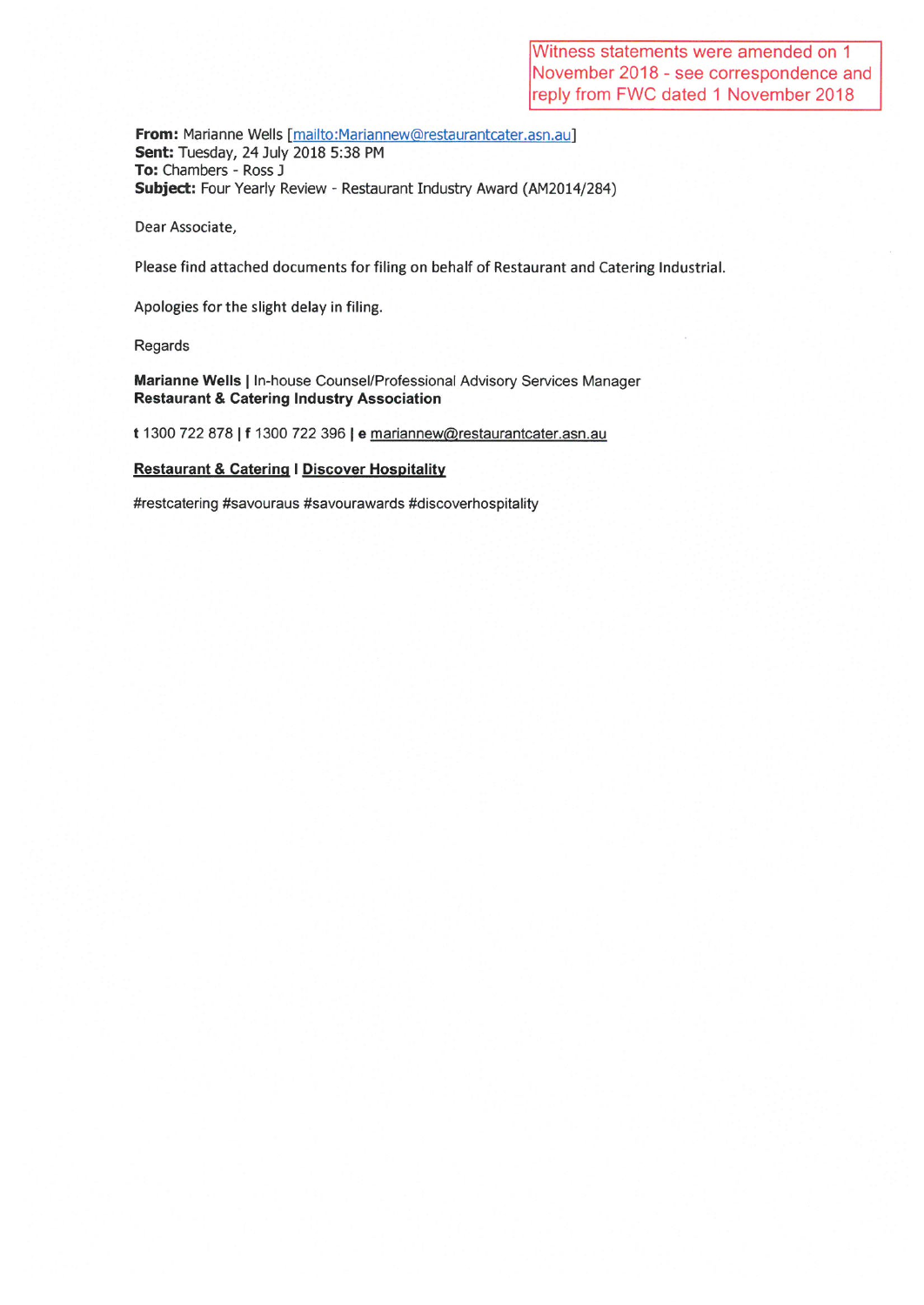From: Marianne Wells [mailto:Mariannew@restaurantcater.asn.au] Sent: Tuesday, 24 July 2018 5:38 PM To: Chambers - Ross J Subject: Four Yearly Review - Restaurant Industry Award (AM2014/284)

Dear Associate,

Please find attached documents for filing on behalf of Restaurant and Catering Industrial.

Apologies for the slight delay in filing.

Regards

Marianne Wells | In-house Counsel/Professional Advisory Services Manager **Restaurant & Catering Industry Association** 

t 1300 722 878 | f 1300 722 396 | e mariannew@restaurantcater.asn.au

### **Restaurant & Catering | Discover Hospitality**

#restcatering #savouraus #savourawards #discoverhospitality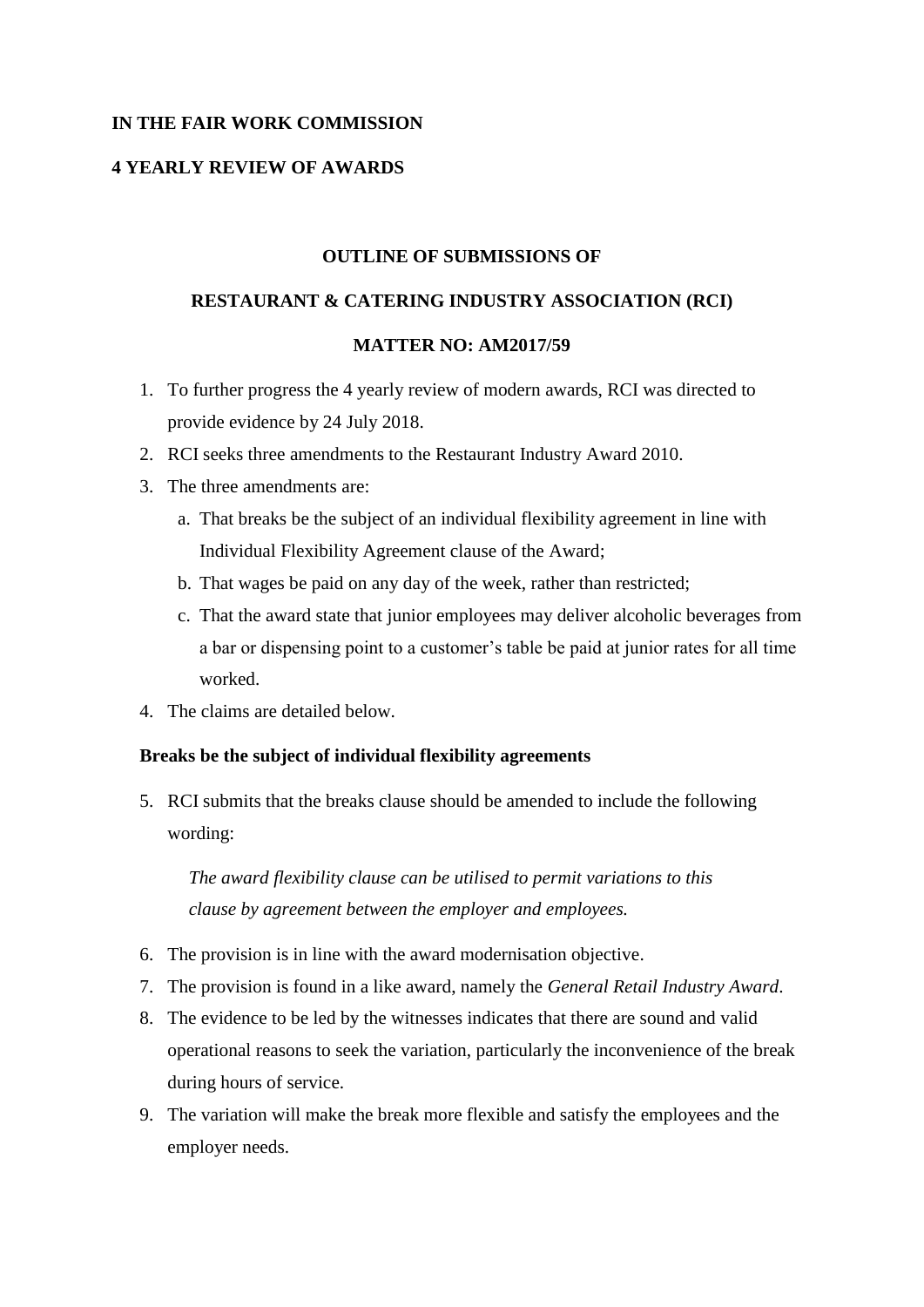# **IN THE FAIR WORK COMMISSION**

# **4 YEARLY REVIEW OF AWARDS**

## **OUTLINE OF SUBMISSIONS OF**

### **RESTAURANT & CATERING INDUSTRY ASSOCIATION (RCI)**

### **MATTER NO: AM2017/59**

- 1. To further progress the 4 yearly review of modern awards, RCI was directed to provide evidence by 24 July 2018.
- 2. RCI seeks three amendments to the Restaurant Industry Award 2010.
- 3. The three amendments are:
	- a. That breaks be the subject of an individual flexibility agreement in line with Individual Flexibility Agreement clause of the Award;
	- b. That wages be paid on any day of the week, rather than restricted;
	- c. That the award state that junior employees may deliver alcoholic beverages from a bar or dispensing point to a customer's table be paid at junior rates for all time worked.
- 4. The claims are detailed below.

## **Breaks be the subject of individual flexibility agreements**

5. RCI submits that the breaks clause should be amended to include the following wording:

*The award flexibility clause can be utilised to permit variations to this clause by agreement between the employer and employees.*

- 6. The provision is in line with the award modernisation objective.
- 7. The provision is found in a like award, namely the *General Retail Industry Award*.
- 8. The evidence to be led by the witnesses indicates that there are sound and valid operational reasons to seek the variation, particularly the inconvenience of the break during hours of service.
- 9. The variation will make the break more flexible and satisfy the employees and the employer needs.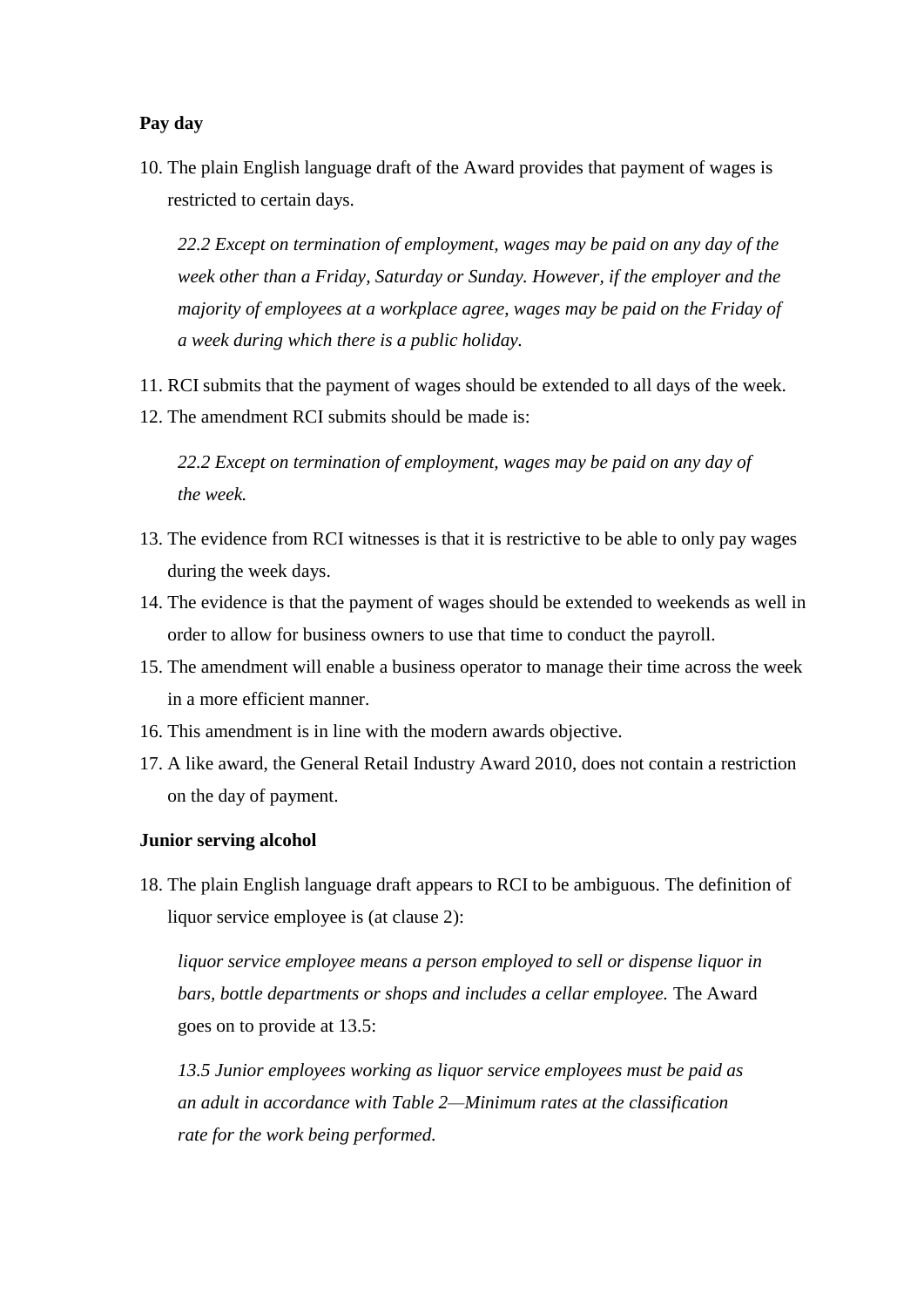## **Pay day**

10. The plain English language draft of the Award provides that payment of wages is restricted to certain days.

*22.2 Except on termination of employment, wages may be paid on any day of the week other than a Friday, Saturday or Sunday. However, if the employer and the majority of employees at a workplace agree, wages may be paid on the Friday of a week during which there is a public holiday.*

- 11. RCI submits that the payment of wages should be extended to all days of the week.
- 12. The amendment RCI submits should be made is:

*22.2 Except on termination of employment, wages may be paid on any day of the week.*

- 13. The evidence from RCI witnesses is that it is restrictive to be able to only pay wages during the week days.
- 14. The evidence is that the payment of wages should be extended to weekends as well in order to allow for business owners to use that time to conduct the payroll.
- 15. The amendment will enable a business operator to manage their time across the week in a more efficient manner.
- 16. This amendment is in line with the modern awards objective.
- 17. A like award, the General Retail Industry Award 2010, does not contain a restriction on the day of payment.

### **Junior serving alcohol**

18. The plain English language draft appears to RCI to be ambiguous. The definition of liquor service employee is (at clause 2):

*liquor service employee means a person employed to sell or dispense liquor in bars, bottle departments or shops and includes a cellar employee.* The Award goes on to provide at 13.5:

*13.5 Junior employees working as liquor service employees must be paid as an adult in accordance with Table 2—Minimum rates at the classification rate for the work being performed.*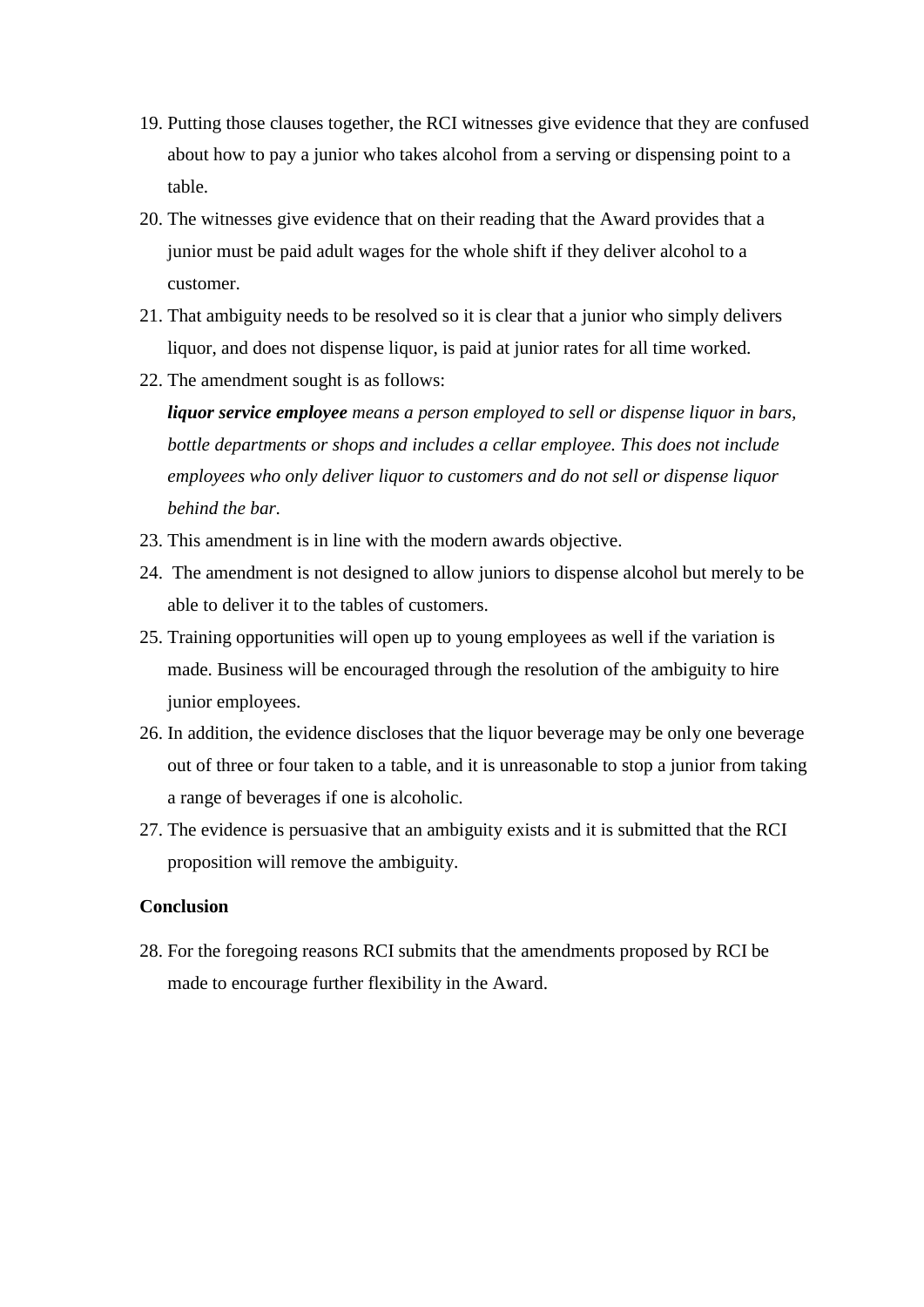- 19. Putting those clauses together, the RCI witnesses give evidence that they are confused about how to pay a junior who takes alcohol from a serving or dispensing point to a table.
- 20. The witnesses give evidence that on their reading that the Award provides that a junior must be paid adult wages for the whole shift if they deliver alcohol to a customer.
- 21. That ambiguity needs to be resolved so it is clear that a junior who simply delivers liquor, and does not dispense liquor, is paid at junior rates for all time worked.
- 22. The amendment sought is as follows:

*liquor service employee means a person employed to sell or dispense liquor in bars, bottle departments or shops and includes a cellar employee. This does not include employees who only deliver liquor to customers and do not sell or dispense liquor behind the bar.*

- 23. This amendment is in line with the modern awards objective.
- 24. The amendment is not designed to allow juniors to dispense alcohol but merely to be able to deliver it to the tables of customers.
- 25. Training opportunities will open up to young employees as well if the variation is made. Business will be encouraged through the resolution of the ambiguity to hire junior employees.
- 26. In addition, the evidence discloses that the liquor beverage may be only one beverage out of three or four taken to a table, and it is unreasonable to stop a junior from taking a range of beverages if one is alcoholic.
- 27. The evidence is persuasive that an ambiguity exists and it is submitted that the RCI proposition will remove the ambiguity.

### **Conclusion**

28. For the foregoing reasons RCI submits that the amendments proposed by RCI be made to encourage further flexibility in the Award.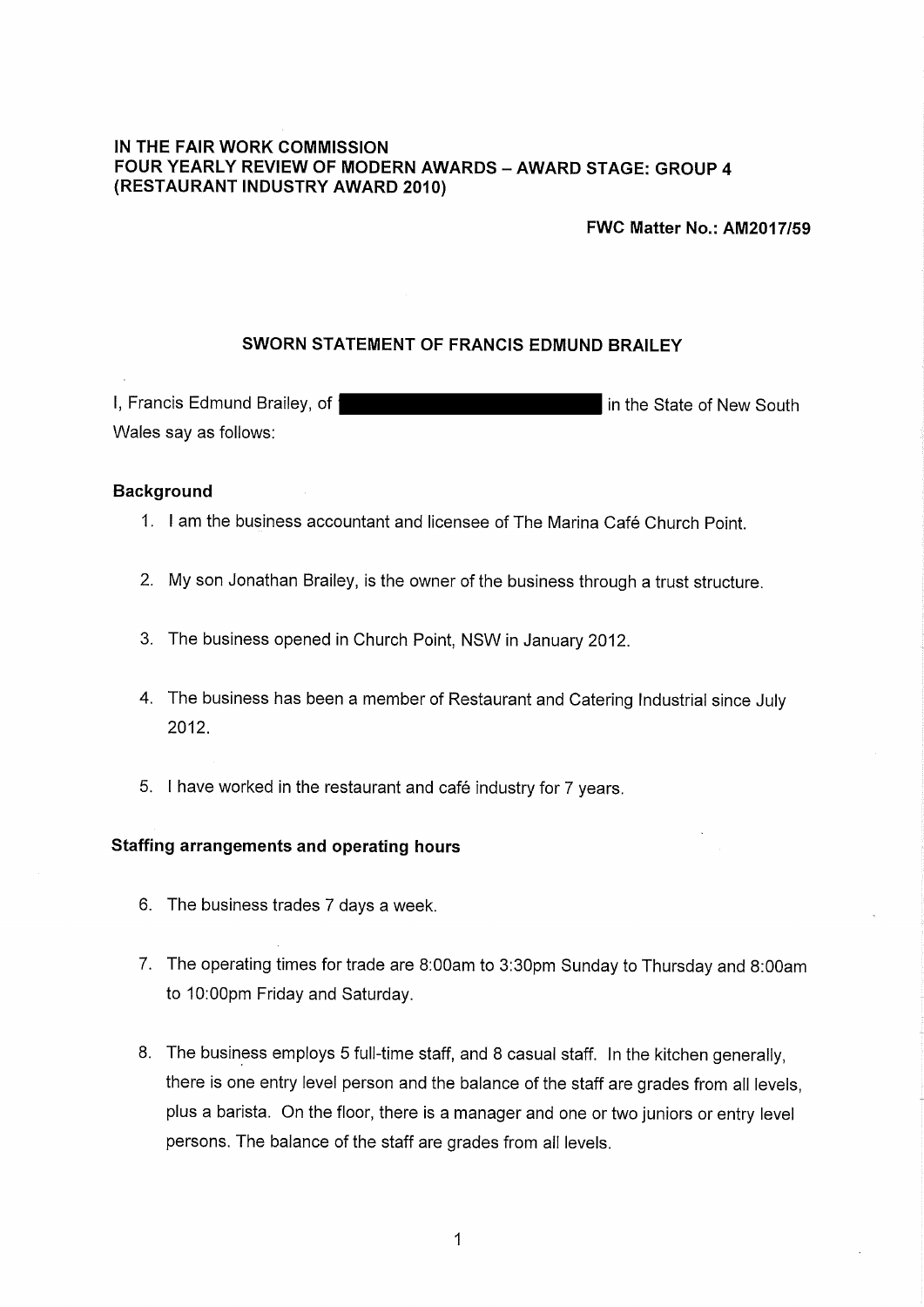## IN THE FAIR WORK COMMISSION FOUR YEARLY REVIEW OF MODERN AWARDS - AWARD STAGE: GROUP 4 (RESTAURANT INDUSTRY AWARD 2010)

**FWC Matter No.: AM2017/59** 

### SWORN STATEMENT OF FRANCIS EDMUND BRAILEY

I, Francis Edmund Brailey, of f in the State of New South Wales say as follows:

#### **Background**

- 1. I am the business accountant and licensee of The Marina Café Church Point
- 2. My son Jonathan Brailey, is the owner of the business through a trust structure.
- 3. The business opened in Church Point, NSW in January 2012.
- 4. The business has been a member of Restaurant and Catering Industrial since July 2012.
- 5. I have worked in the restaurant and café industry for 7 years.

## **Staffing arrangements and operating hours**

- 6. The business trades 7 days a week.
- 7. The operating times for trade are 8:00am to 3:30pm Sunday to Thursday and 8:00am to 10:00pm Friday and Saturday.
- 8. The business employs 5 full-time staff, and 8 casual staff. In the kitchen generally, there is one entry level person and the balance of the staff are grades from all levels, plus a barista. On the floor, there is a manager and one or two juniors or entry level persons. The balance of the staff are grades from all levels.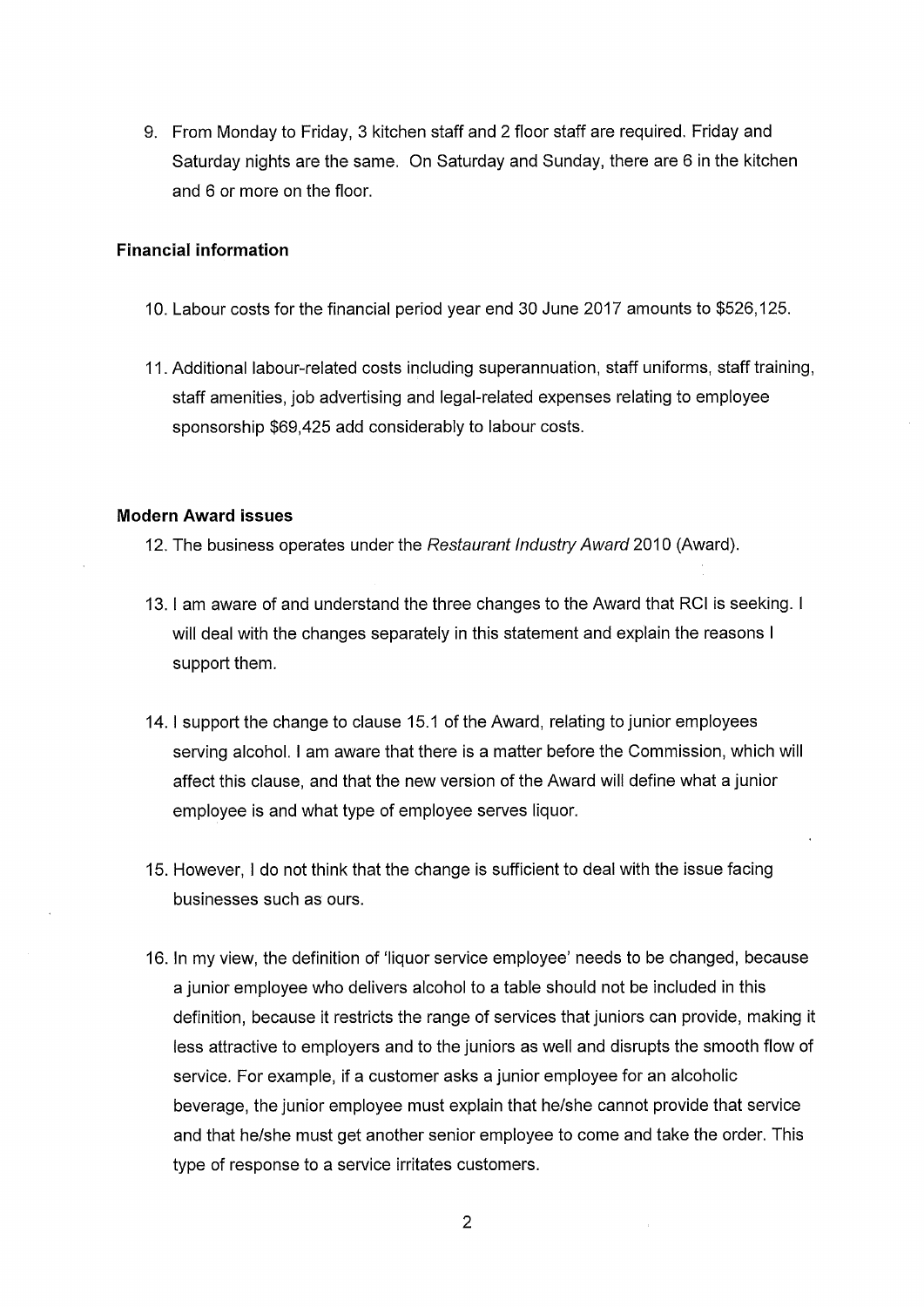9. From Monday to Friday, 3 kitchen staff and 2 floor staff are required. Friday and Saturday nights are the same. On Saturday and Sunday, there are 6 in the kitchen and 6 or more on the floor.

### **Financial information**

- 10. Labour costs for the financial period year end 30 June 2017 amounts to \$526,125.
- 11. Additional labour-related costs including superannuation, staff uniforms, staff training, staff amenities, job advertising and legal-related expenses relating to employee sponsorship \$69,425 add considerably to labour costs.

#### **Modern Award issues**

- 12. The business operates under the Restaurant Industry Award 2010 (Award).
- 13. I am aware of and understand the three changes to the Award that RCI is seeking. I will deal with the changes separately in this statement and explain the reasons I support them.
- 14. I support the change to clause 15.1 of the Award, relating to junior employees serving alcohol. I am aware that there is a matter before the Commission, which will affect this clause, and that the new version of the Award will define what a junior employee is and what type of employee serves liquor.
- 15. However, I do not think that the change is sufficient to deal with the issue facing businesses such as ours.
- 16. In my view, the definition of 'liquor service employee' needs to be changed, because a junior employee who delivers alcohol to a table should not be included in this definition, because it restricts the range of services that juniors can provide, making it less attractive to employers and to the juniors as well and disrupts the smooth flow of service. For example, if a customer asks a junior employee for an alcoholic beverage, the junior employee must explain that he/she cannot provide that service and that he/she must get another senior employee to come and take the order. This type of response to a service irritates customers.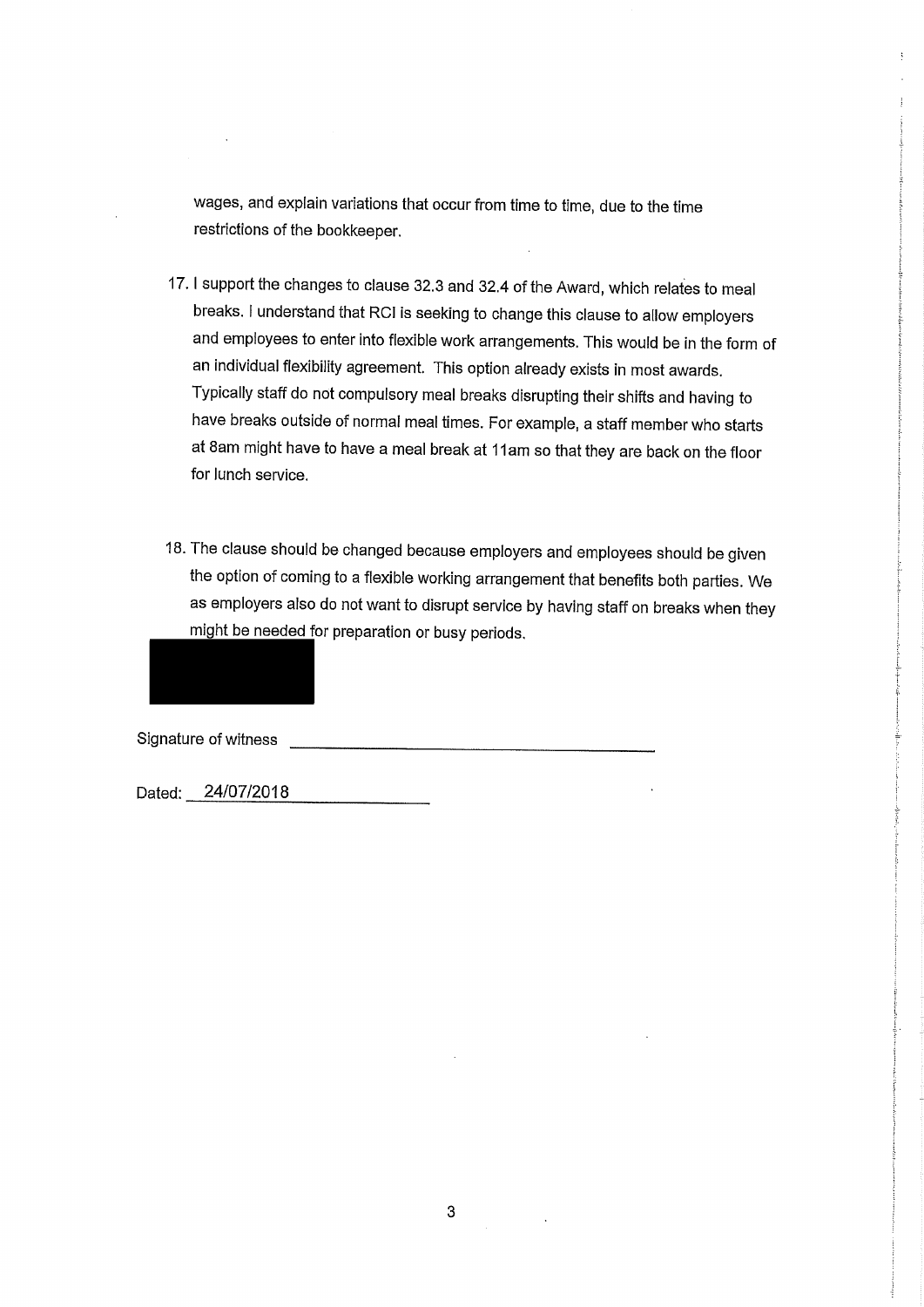wages, and explain variations that occur from time to time, due to the time restrictions of the bookkeeper.

- 17. I support the changes to clause 32.3 and 32.4 of the Award, which relates to meal breaks. I understand that RCI is seeking to change this clause to allow employers and employees to enter into flexible work arrangements. This would be in the form of an individual flexibility agreement. This option already exists in most awards. Typically staff do not compulsory meal breaks disrupting their shifts and having to have breaks outside of normal meal times. For example, a staff member who starts at 8am might have to have a meal break at 11am so that they are back on the floor for lunch service.
- 18. The clause should be changed because employers and employees should be given the option of coming to a flexible working arrangement that benefits both parties. We as employers also do not want to disrupt service by having staff on breaks when they might be needed for preparation or busy periods.

Signature of witness

Dated: 24/07/2018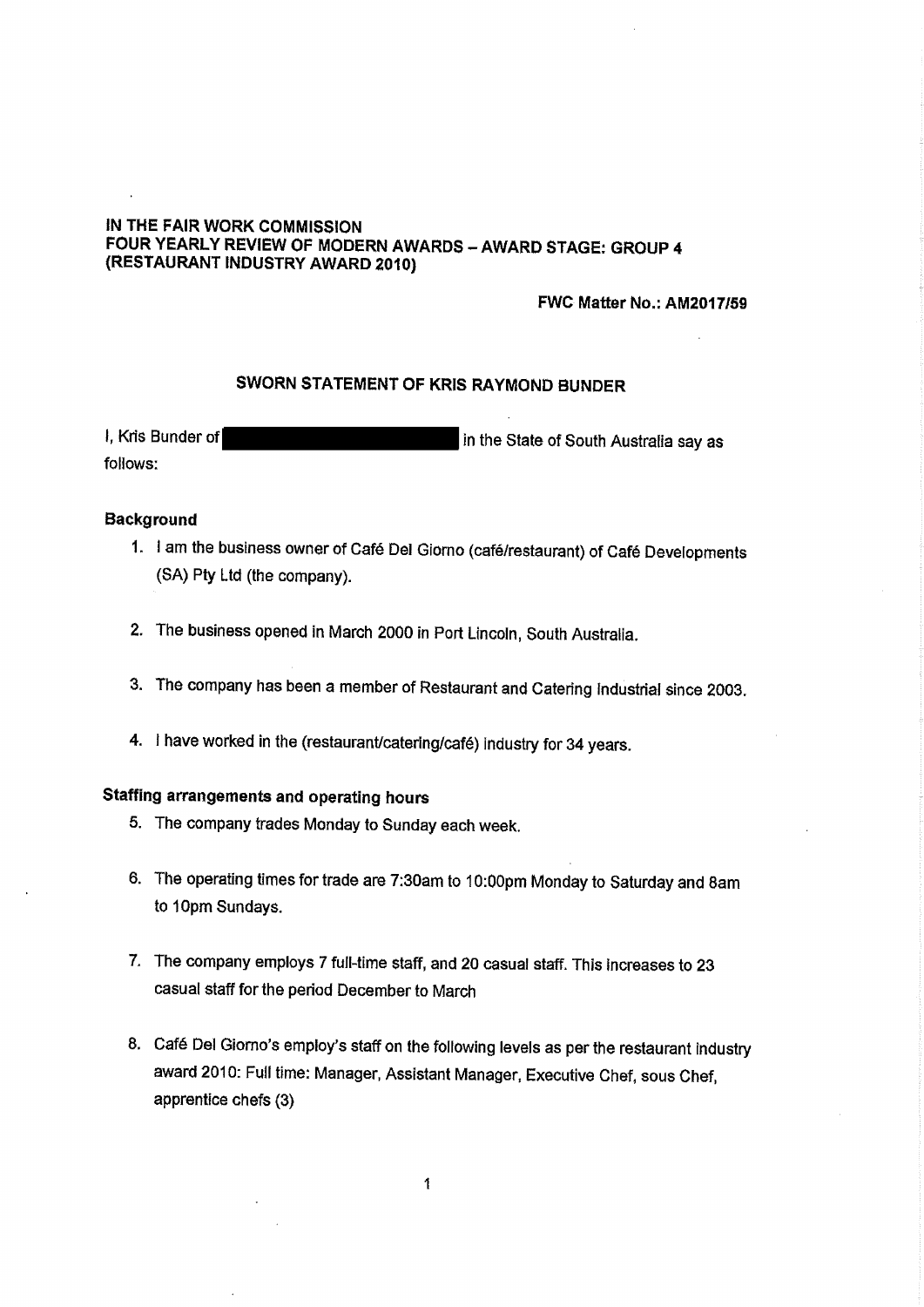### IN THE FAIR WORK COMMISSION FOUR YEARLY REVIEW OF MODERN AWARDS - AWARD STAGE: GROUP 4 (RESTAURANT INDUSTRY AWARD 2010)

FWC Matter No.: AM2017/59

### SWORN STATEMENT OF KRIS RAYMOND BUNDER

I, Kris Bunder of in the State of South Australia say as follows:

#### **Background**

- 1. I am the business owner of Café Del Giorno (café/restaurant) of Café Developments (SA) Pty Ltd (the company).
- 2. The business opened in March 2000 in Port Lincoln, South Australia.
- 3. The company has been a member of Restaurant and Catering Industrial since 2003.
- 4. I have worked in the (restaurant/catering/café) industry for 34 years.

# Staffing arrangements and operating hours

- 5. The company trades Monday to Sunday each week.
- 6. The operating times for trade are 7:30am to 10:00pm Monday to Saturday and 8am to 10pm Sundays.
- 7. The company employs 7 full-time staff, and 20 casual staff. This increases to 23 casual staff for the period December to March
- 8. Café Del Giorno's employ's staff on the following levels as per the restaurant industry award 2010: Full time: Manager, Assistant Manager, Executive Chef, sous Chef, apprentice chefs (3)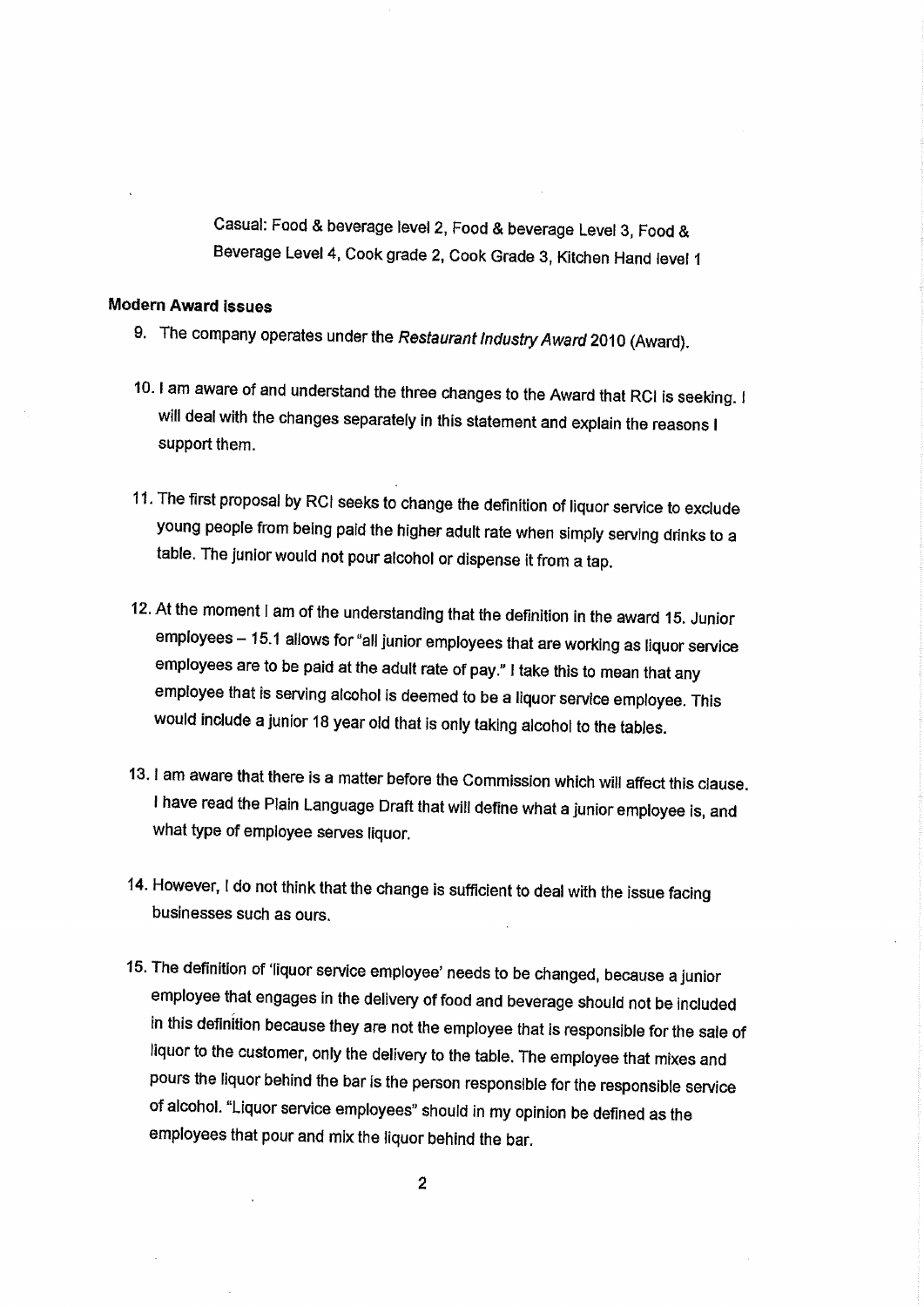Casual: Food & beverage level 2, Food & beverage Level 3, Food & Beverage Level 4, Cook grade 2, Cook Grade 3, Kitchen Hand level 1

### **Modern Award issues**

- 9. The company operates under the Restaurant Industry Award 2010 (Award).
- 10. I am aware of and understand the three changes to the Award that RCI is seeking. I will deal with the changes separately in this statement and explain the reasons I support them.
- 11. The first proposal by RCI seeks to change the definition of liquor service to exclude young people from being paid the higher adult rate when simply serving drinks to a table. The junior would not pour alcohol or dispense it from a tap.
- 12. At the moment I am of the understanding that the definition in the award 15. Junior employees - 15.1 allows for "all junior employees that are working as liquor service employees are to be paid at the adult rate of pay." I take this to mean that any employee that is serving alcohol is deemed to be a liquor service employee. This would include a junior 18 year old that is only taking alcohol to the tables.
- 13. I am aware that there is a matter before the Commission which will affect this clause. I have read the Plain Language Draft that will define what a junior employee is, and what type of employee serves liquor.
- 14. However, I do not think that the change is sufficient to deal with the issue facing businesses such as ours.
- 15. The definition of 'liquor service employee' needs to be changed, because a junior employee that engages in the delivery of food and beverage should not be included in this definition because they are not the employee that is responsible for the sale of liquor to the customer, only the delivery to the table. The employee that mixes and pours the liquor behind the bar is the person responsible for the responsible service of alcohol. "Liquor service employees" should in my opinion be defined as the employees that pour and mix the liquor behind the bar.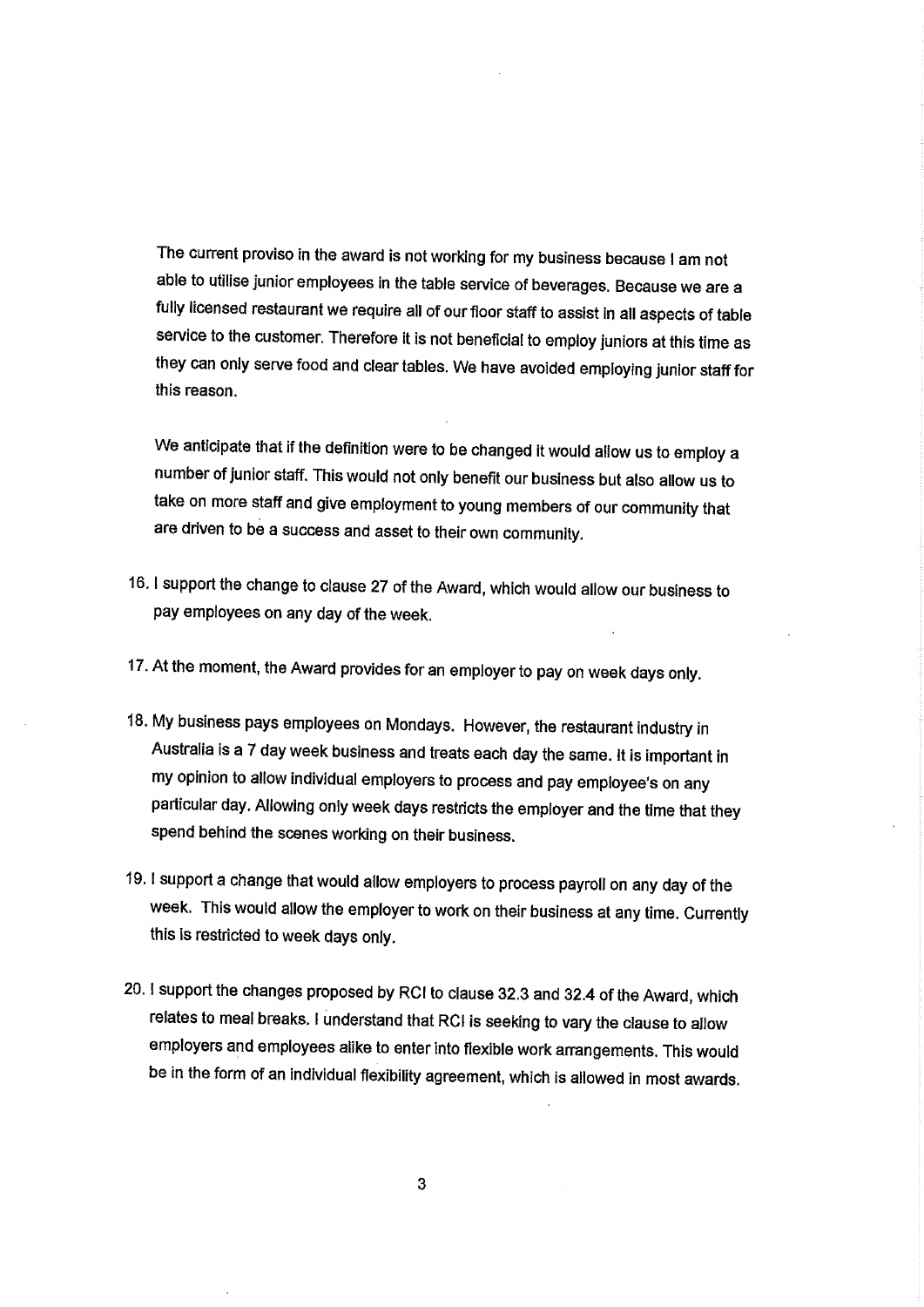The current proviso in the award is not working for my business because I am not able to utilise junior employees in the table service of beverages. Because we are a fully licensed restaurant we require all of our floor staff to assist in all aspects of table service to the customer. Therefore it is not beneficial to employ juniors at this time as they can only serve food and clear tables. We have avoided employing junior staff for this reason.

We anticipate that if the definition were to be changed it would allow us to employ a number of junior staff. This would not only benefit our business but also allow us to take on more staff and give employment to young members of our community that are driven to be a success and asset to their own community.

- 16. I support the change to clause 27 of the Award, which would allow our business to pay employees on any day of the week.
- 17. At the moment, the Award provides for an employer to pay on week days only.
- 18. My business pays employees on Mondays. However, the restaurant industry in Australia is a 7 day week business and treats each day the same. It is important in my opinion to allow individual employers to process and pay employee's on any particular day. Allowing only week days restricts the employer and the time that they spend behind the scenes working on their business.
- 19. I support a change that would allow employers to process payroll on any day of the week. This would allow the employer to work on their business at any time. Currently this is restricted to week days only.
- 20. I support the changes proposed by RCI to clause 32.3 and 32.4 of the Award, which relates to meal breaks. I understand that RCI is seeking to vary the clause to allow employers and employees alike to enter into flexible work arrangements. This would be in the form of an individual flexibility agreement, which is allowed in most awards.